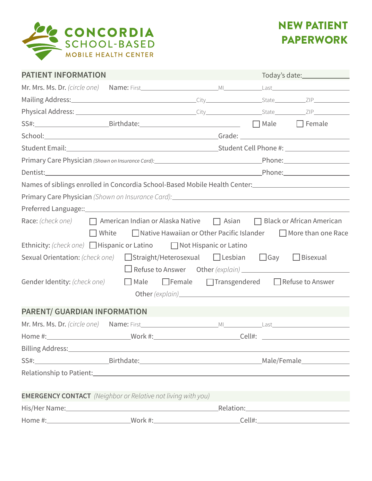

| <b>PATIENT INFORMATION</b>                                                                                                                                                                                                                                                                                                                            |  |                                                                                                                                                                             |  |                                                                                                                 |  |
|-------------------------------------------------------------------------------------------------------------------------------------------------------------------------------------------------------------------------------------------------------------------------------------------------------------------------------------------------------|--|-----------------------------------------------------------------------------------------------------------------------------------------------------------------------------|--|-----------------------------------------------------------------------------------------------------------------|--|
|                                                                                                                                                                                                                                                                                                                                                       |  |                                                                                                                                                                             |  |                                                                                                                 |  |
|                                                                                                                                                                                                                                                                                                                                                       |  |                                                                                                                                                                             |  |                                                                                                                 |  |
|                                                                                                                                                                                                                                                                                                                                                       |  |                                                                                                                                                                             |  |                                                                                                                 |  |
|                                                                                                                                                                                                                                                                                                                                                       |  |                                                                                                                                                                             |  |                                                                                                                 |  |
|                                                                                                                                                                                                                                                                                                                                                       |  |                                                                                                                                                                             |  |                                                                                                                 |  |
|                                                                                                                                                                                                                                                                                                                                                       |  |                                                                                                                                                                             |  |                                                                                                                 |  |
|                                                                                                                                                                                                                                                                                                                                                       |  |                                                                                                                                                                             |  |                                                                                                                 |  |
| Dentist: Phone: Phone: Phone: Phone: Phone: Phone: Phone: Phone: Phone: Phone: Phone: Phone: Phone: Phone: Phone: Phone: Phone: Phone: Phone: Phone: Phone: Phone: Phone: Phone: Phone: Phone: Phone: Phone: Phone: Phone: Pho                                                                                                                        |  |                                                                                                                                                                             |  |                                                                                                                 |  |
| Names of siblings enrolled in Concordia School-Based Mobile Health Center: 1986 1988 1988 1989 1989 1989 1989                                                                                                                                                                                                                                         |  |                                                                                                                                                                             |  |                                                                                                                 |  |
| Primary Care Physician (Shown on Insurance Card): 2008 2010 2010 2010 2011 2012 2020 2021 2022 2023 2024 2022                                                                                                                                                                                                                                         |  |                                                                                                                                                                             |  |                                                                                                                 |  |
|                                                                                                                                                                                                                                                                                                                                                       |  |                                                                                                                                                                             |  |                                                                                                                 |  |
| Race: $(check one)$ $\Box$ American Indian or Alaska Native $\Box$ Asian $\Box$ Black or African American<br>$\Box$ White<br>Ethnicity: (check one) Hispanic or Latino $\Box$ Not Hispanic or Latino<br>Sexual Orientation: (check one) $\Box$ Straight/Heterosexual $\Box$ Lesbian $\Box$ Gay $\Box$ Bisexual<br>Gender Identity: $(check one)$ Male |  | $\Box$ Native Hawaiian or Other Pacific Islander $\Box$ More than one Race<br>$\Box$ Refuse to Answer Other (explain) $\Box$<br>□ Female □ Transgendered □ Refuse to Answer |  |                                                                                                                 |  |
| PARENT/ GUARDIAN INFORMATION                                                                                                                                                                                                                                                                                                                          |  |                                                                                                                                                                             |  |                                                                                                                 |  |
|                                                                                                                                                                                                                                                                                                                                                       |  |                                                                                                                                                                             |  |                                                                                                                 |  |
|                                                                                                                                                                                                                                                                                                                                                       |  |                                                                                                                                                                             |  |                                                                                                                 |  |
|                                                                                                                                                                                                                                                                                                                                                       |  |                                                                                                                                                                             |  |                                                                                                                 |  |
|                                                                                                                                                                                                                                                                                                                                                       |  |                                                                                                                                                                             |  |                                                                                                                 |  |
| Relationship to Patient: Note of the Contract of the Contract of the Contract of the Contract of the Contract of the Contract of the Contract of the Contract of the Contract of the Contract of the Contract of the Contract                                                                                                                         |  |                                                                                                                                                                             |  |                                                                                                                 |  |
|                                                                                                                                                                                                                                                                                                                                                       |  |                                                                                                                                                                             |  |                                                                                                                 |  |
| <b>EMERGENCY CONTACT</b> (Neighbor or Relative not living with you)                                                                                                                                                                                                                                                                                   |  |                                                                                                                                                                             |  |                                                                                                                 |  |
|                                                                                                                                                                                                                                                                                                                                                       |  |                                                                                                                                                                             |  | Relation: Network and the second service of the service of the series of the series of the series of the series |  |
|                                                                                                                                                                                                                                                                                                                                                       |  |                                                                                                                                                                             |  |                                                                                                                 |  |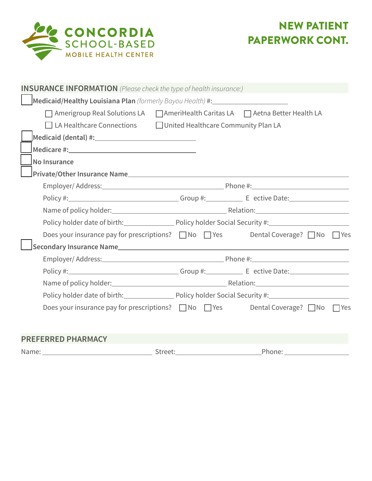

| <b>INSURANCE INFORMATION</b> (Please check the type of health insurance:)                    |                                                                              |  |        |  |
|----------------------------------------------------------------------------------------------|------------------------------------------------------------------------------|--|--------|--|
| Medicaid/Healthy Louisiana Plan (formerly Bayou Health) #: _____________________             |                                                                              |  |        |  |
| △ Amerigroup Real Solutions LA △ △ △ △ AmeriHealth Caritas LA △ △ △ △ Aetna Better Health LA |                                                                              |  |        |  |
| $\Box$ LA Healthcare Connections $\Box$ United Healthcare Community Plan LA                  |                                                                              |  |        |  |
|                                                                                              |                                                                              |  |        |  |
|                                                                                              |                                                                              |  |        |  |
| <b>No Insurance</b>                                                                          |                                                                              |  |        |  |
|                                                                                              |                                                                              |  |        |  |
|                                                                                              |                                                                              |  |        |  |
|                                                                                              |                                                                              |  |        |  |
|                                                                                              |                                                                              |  |        |  |
| Policy holder date of birth: Policy holder Social Security #: 1990 Mate of birth:            |                                                                              |  |        |  |
| Does your insurance pay for prescriptions? ■ No ■ Yes Dental Coverage? ■ No ■ Yes            |                                                                              |  |        |  |
|                                                                                              |                                                                              |  |        |  |
|                                                                                              |                                                                              |  |        |  |
|                                                                                              |                                                                              |  |        |  |
|                                                                                              |                                                                              |  |        |  |
|                                                                                              | Policy holder date of birth: Policy holder Social Security #: 2000 2010 2010 |  |        |  |
| Does your insurance pay for prescriptions? ■ No ■ Yes Dental Coverage? ■ No ■ Yes            |                                                                              |  |        |  |
|                                                                                              |                                                                              |  |        |  |
| <b>PREFERRED PHARMACY</b>                                                                    |                                                                              |  |        |  |
|                                                                                              | Street:                                                                      |  | Phone: |  |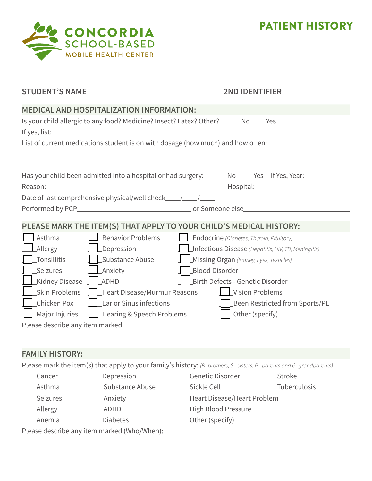

PATIENT HISTORY

|                                       |                                                                                                                                                                                                                                      | 2ND IDENTIFIER                                                                                                       |
|---------------------------------------|--------------------------------------------------------------------------------------------------------------------------------------------------------------------------------------------------------------------------------------|----------------------------------------------------------------------------------------------------------------------|
|                                       | MEDICAL AND HOSPITALIZATION INFORMATION:                                                                                                                                                                                             |                                                                                                                      |
|                                       |                                                                                                                                                                                                                                      | Is your child allergic to any food? Medicine? Insect? Latex? Other? ______No _____Yes                                |
|                                       | If yes, list: <u>and the same and the same and the same and the same and the same and the same and the same and the same and the same and the same and the same and the same and the same and the same and the same and the same</u> |                                                                                                                      |
|                                       |                                                                                                                                                                                                                                      | List of current medications student is on with dosage (how much) and how o en:                                       |
|                                       |                                                                                                                                                                                                                                      |                                                                                                                      |
|                                       |                                                                                                                                                                                                                                      |                                                                                                                      |
|                                       |                                                                                                                                                                                                                                      | Has your child been admitted into a hospital or had surgery: ______No _____Yes If Yes, Year: _____________           |
|                                       |                                                                                                                                                                                                                                      |                                                                                                                      |
|                                       | Date of last comprehensive physical/well check__________________________________                                                                                                                                                     |                                                                                                                      |
|                                       |                                                                                                                                                                                                                                      |                                                                                                                      |
|                                       |                                                                                                                                                                                                                                      | PLEASE MARK THE ITEM(S) THAT APPLY TO YOUR CHILD'S MEDICAL HISTORY:                                                  |
| Asthma                                | $\Box$ Behavior Problems                                                                                                                                                                                                             | <b>Lendocrine</b> (Diabetes, Thyroid, Pituitary)                                                                     |
| Allergy                               | $\Box$ Depression                                                                                                                                                                                                                    | Infectious Disease (Hepatitis, HIV, TB, Meningitis)                                                                  |
| _Tonsillitis                          | Substance Abuse                                                                                                                                                                                                                      | Missing Organ (Kidney, Eyes, Testicles)                                                                              |
| Seizures                              | <b>Anxiety</b>                                                                                                                                                                                                                       | <b>Blood Disorder</b>                                                                                                |
| Kidney Disease _ _ _ _ _ _ _ _ _ ADHD |                                                                                                                                                                                                                                      | Birth Defects - Genetic Disorder                                                                                     |
| Skin Problems                         | Heart Disease/Murmur Reasons                                                                                                                                                                                                         | Vision Problems                                                                                                      |
| Chicken Pox                           | $\Box$ Ear or Sinus infections                                                                                                                                                                                                       | Been Restricted from Sports/PE                                                                                       |
| <b>Major Injuries</b>                 | Hearing & Speech Problems                                                                                                                                                                                                            |                                                                                                                      |
|                                       |                                                                                                                                                                                                                                      |                                                                                                                      |
|                                       |                                                                                                                                                                                                                                      |                                                                                                                      |
|                                       |                                                                                                                                                                                                                                      |                                                                                                                      |
| <b>FAMILY HISTORY:</b>                |                                                                                                                                                                                                                                      |                                                                                                                      |
|                                       |                                                                                                                                                                                                                                      | Please mark the item(s) that apply to your family's history: (B=brothers, S= sisters, P= parents and G=grandparents) |
| Cancer                                | ____Depression                                                                                                                                                                                                                       | ____Genetic Disorder<br>______Stroke                                                                                 |
| Asthma                                | _____Substance Abuse                                                                                                                                                                                                                 | ____Sickle Cell<br>____Tuberculosis                                                                                  |
| Seizures                              | _____Anxiety                                                                                                                                                                                                                         | ____Heart Disease/Heart Problem                                                                                      |
| <b>Allergy</b>                        | _ADHD                                                                                                                                                                                                                                | - High Blood Pressure                                                                                                |
| Anemia                                | <b>Diabetes</b>                                                                                                                                                                                                                      |                                                                                                                      |
|                                       |                                                                                                                                                                                                                                      |                                                                                                                      |

Please describe any item marked (Who/When):

 $\overline{a}$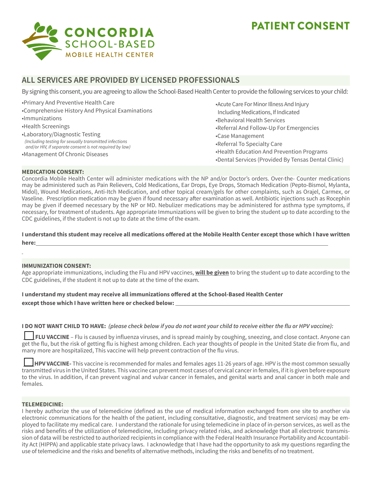# CONCORDIA **SCHOOL-BASED MOBILE HEALTH CENTER**

# PATIENT CONSENT

# **ALL SERVICES ARE PROVIDED BY LICENSED PROFESSIONALS**

By signing this consent, you are agreeing to allow the School-Based Health Center to provide the following services to your child:

•Primary And Preventive Health Care •Comprehensive History And Physical Examinations •Immunizations •Health Screenings •Laboratory/Diagnostic Testing *(Including testing for sexually transmitted infections and/or HIV, if separate consent is not required by law)*

•Management Of Chronic Diseases

•Acute Care For Minor Illness And Injury Including Medications, If Indicated •Behavioral Health Services

- •Referral And Follow-Up For Emergencies
- •Case Management
- •Referral To Specialty Care
- •Health Education And Prevention Programs
- •Dental Services (Provided By Tensas Dental Clinic)

#### **MEDICATION CONSENT:**

Concordia Mobile Health Center will administer medications with the NP and/or Doctor's orders. Over-the- Counter medications may be administered such as Pain Relievers, Cold Medications, Ear Drops, Eye Drops, Stomach Medication (Pepto-Bismol, Mylanta, Midol), Wound Medications, Anti-Itch Medication, and other topical cream/gels for other complaints, such as Orajel, Carmex, or Vaseline. Prescription medication may be given if found necessary after examination as well. Antibiotic injections such as Rocephin may be given if deemed necessary by the NP or MD. Nebulizer medications may be administered for asthma type symptoms, if necessary, for treatment of students. Age appropriate Immunizations will be given to bring the student up to date according to the CDC guidelines, if the student is not up to date at the time of the exam.

**I understand this student may receive all medications offered at the Mobile Health Center except those which I have written here:**

#### **IMMUNIZATION CONSENT:**

Age appropriate immunizations, including the Flu and HPV vaccines, **will be given** to bring the student up to date according to the CDC guidelines, if the student it not up to date at the time of the exam.

**I understand my student may receive all immunizations offered at the School-Based Health Center** 

**except those which I have written here or checked below:** 

#### **I DO NOT WANT CHILD TO HAVE: (please check below if you do not want your child to receive either the flu or HPV vaccine):**

 **FLU VACCINE** – Flu is caused by influenza viruses, and is spread mainly by coughing, sneezing, and close contact. Anyone can get the flu, but the risk of getting flu is highest among children. Each year thoughts of people in the United State die from flu, and many more are hospitalized, This vaccine will help prevent contraction of the flu virus.

 **HPV VACCINE-** This vaccine is recommended for males and females ages 11-26 years of age. HPV is the most common sexually transmitted virus in the United States. This vaccine can prevent most cases of cervical cancer in females, if it is given before exposure to the virus. In addition, if can prevent vaginal and vulvar cancer in females, and genital warts and anal cancer in both male and females.

#### **TELEMEDICINE:**

I hereby authorize the use of telemedicine (defined as the use of medical information exchanged from one site to another via electronic communications for the health of the patient, including consultative, diagnostic, and treatment services) may be employed to facilitate my medical care. I understand the rationale for using telemedicine in place of in-person services, as well as the risks and benefits of the utilization of telemedicine, including privacy related risks, and acknowledge that all electronic transmission of data will be restricted to authorized recipients in compliance with the Federal Health Insurance Portability and Accountability Act (HIPPA) and applicable state privacy laws. I acknowledge that I have had the opportunity to ask my questions regarding the use of telemedicine and the risks and benefits of alternative methods, including the risks and benefits of no treatment.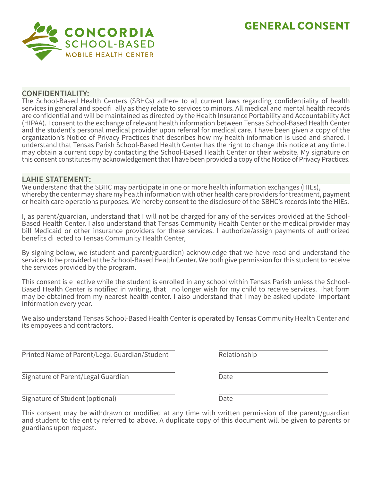# GENERAL CONSENT



## **CONFIDENTIALITY:**

The School-Based Health Centers (SBHCs) adhere to all current laws regarding confidentiality of health services in general and specifi ally as they relate to services to minors. All medical and mental health records are confidential and will be maintained as directed by the Health Insurance Portability and Accountability Act (HIPAA). I consent to the exchange of relevant health information between Tensas School-Based Health Center and the student's personal medical provider upon referral for medical care. I have been given a copy of the organization's Notice of Privacy Practices that describes how my health information is used and shared. I understand that Tensas Parish School-Based Health Center has the right to change this notice at any time. I may obtain a current copy by contacting the School-Based Health Center or their website. My signature on this consent constitutes my acknowledgement that I have been provided a copy of the Notice of Privacy Practices.

# **LAHIE STATEMENT:**

We understand that the SBHC may participate in one or more health information exchanges (HIEs), whereby the center may share my health information with other health care providers for treatment, payment or health care operations purposes. We hereby consent to the disclosure of the SBHC's records into the HIEs.

I, as parent/guardian, understand that I will not be charged for any of the services provided at the School-Based Health Center. I also understand that Tensas Community Health Center or the medical provider may bill Medicaid or other insurance providers for these services. I authorize/assign payments of authorized benefits di ected to Tensas Community Health Center,

By signing below, we (student and parent/guardian) acknowledge that we have read and understand the services to be provided at the School-Based Health Center. We both give permission for this student to receive the services provided by the program.

This consent is e ective while the student is enrolled in any school within Tensas Parish unless the School-Based Health Center is notified in writing, that I no longer wish for my child to receive services. That form may be obtained from my nearest health center. I also understand that I may be asked update important information every year.

We also understand Tensas School-Based Health Center is operated by Tensas Community Health Center and its empoyees and contractors.

Printed Name of Parent/Legal Guardian/Student Relationship

Signature of Parent/Legal Guardian Date

Signature of Student (optional) Date

This consent may be withdrawn or modified at any time with written permission of the parent/guardian and student to the entity referred to above. A duplicate copy of this document will be given to parents or guardians upon request.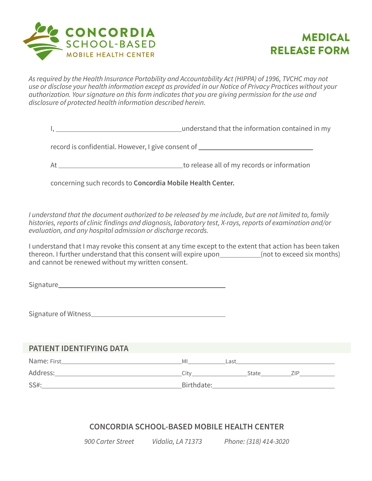



*As required by the Health Insurance Portability and Accountability Act (HIPPA) of 1996, TVCHC may not use or disclose your health information except as provided in our Notice of Privacy Practices without your authorization. Your signature on this form indicates that you are giving permission for the use and disclosure of protected health information described herein.* 

I, understand that the information contained in my

record is confidential. However, I give consent of

At to release all of my records or information

concerning such records to **Concordia Mobile Health Center.**

*I understand that the document authorized to be released by me include, but are not limited to, family histories, reports of clinic findings and diagnosis, laboratory test, X-rays, reports of examination and/or evaluation, and any hospital admission or discharge records.* 

I understand that I may revoke this consent at any time except to the extent that action has been taken thereon. I further understand that this consent will expire upon (not to exceed six months) and cannot be renewed without my written consent.

Signature

Signature of Witness

# **PATIENT IDENTIFYING DATA**

| Name: First | ΜI         | Last  |      |
|-------------|------------|-------|------|
| Address:    | ≘itv       | State | 71 P |
| SS#:        | Birthdate: |       |      |

# **CONCORDIA SCHOOL-BASED MOBILE HEALTH CENTER**

*900 Carter Street Vidalia, LA 71373 Phone: (318) 414-3020*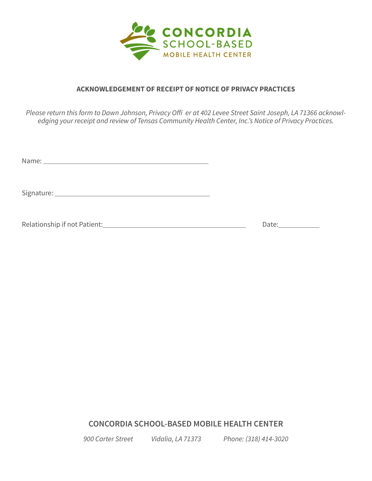

# **ACKNOWLEDGEMENT OF RECEIPT OF NOTICE OF PRIVACY PRACTICES**

*Please return this form to Dawn Johnson, Privacy Offi er at 402 Levee Street Saint Joseph, LA 71366 acknowledging your receipt and review of Tensas Community Health Center, Inc.'s Notice of Privacy Practices.*

Name:

Signature:

Relationship if not Patient: Date: Date: Date: Date:

**CONCORDIA SCHOOL-BASED MOBILE HEALTH CENTER**

*900 Carter Street Vidalia, LA 71373 Phone: (318) 414-3020*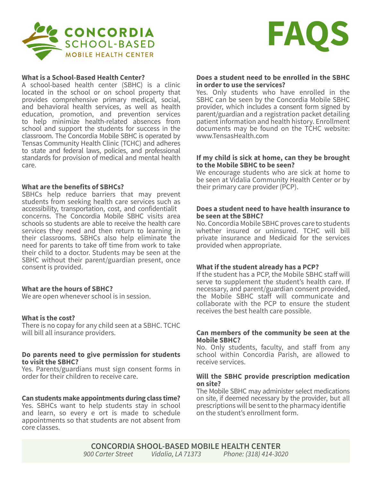



#### **What is a School-Based Health Center?**

A school-based health center (SBHC) is a clinic located in the school or on school property that provides comprehensive primary medical, social, and behavioral health services, as well as health education, promotion, and prevention services to help minimize health-related absences from school and support the students for success in the classroom. The Concordia Mobile SBHC is operated by Tensas Community Health Clinic (TCHC) and adheres to state and federal laws, policies, and professional standards for provision of medical and mental health care.

#### **What are the benefits of SBHCs?**

SBHCs help reduce barriers that may prevent students from seeking health care services such as accessibility, transportation, cost, and confidentialit concerns. The Concordia Mobile SBHC visits area schools so students are able to receive the health care services they need and then return to learning in their classrooms. SBHCs also help eliminate the need for parents to take off time from work to take their child to a doctor. Students may be seen at the SBHC without their parent/guardian present, once consent is provided.

#### **What are the hours of SBHC?**

We are open whenever school is in session.

### **What is the cost?**

There is no copay for any child seen at a SBHC. TCHC will bill all insurance providers.

#### **Do parents need to give permission for students to visit the SBHC?**

Yes. Parents/guardians must sign consent forms in order for their children to receive care.

#### **Can students make appointments during class time?**

Yes. SBHCs want to help students stay in school and learn, so every e ort is made to schedule appointments so that students are not absent from core classes.

#### **Does a student need to be enrolled in the SBHC in order to use the services?**

Yes. Only students who have enrolled in the SBHC can be seen by the Concordia Mobile SBHC provider, which includes a consent form signed by parent/guardian and a registration packet detailing patient information and health history. Enrollment documents may be found on the TCHC website: www.TensasHealth.com

#### **If my child is sick at home, can they be brought to the Mobile SBHC to be seen?**

We encourage students who are sick at home to be seen at Vidalia Community Health Center or by their primary care provider (PCP).

#### **Does a student need to have health insurance to be seen at the SBHC?**

No. Concordia Mobile SBHC proves care to students whether insured or uninsured. TCHC will bill private insurance and Medicaid for the services provided when appropriate.

#### **What if the student already has a PCP?**

If the student has a PCP, the Mobile SBHC staff will serve to supplement the student's health care. If necessary, and parent/guardian consent provided, the Mobile SBHC staff will communicate and collaborate with the PCP to ensure the student receives the best health care possible.

#### **Can members of the community be seen at the Mobile SBHC?**

No. Only students, faculty, and staff from any school within Concordia Parish, are allowed to receive services.

#### **Will the SBHC provide prescription medication on site?**

The Mobile SBHC may administer select medications on site, if deemed necessary by the provider, but all prescriptions will be sent to the pharmacy identifie on the student's enrollment form.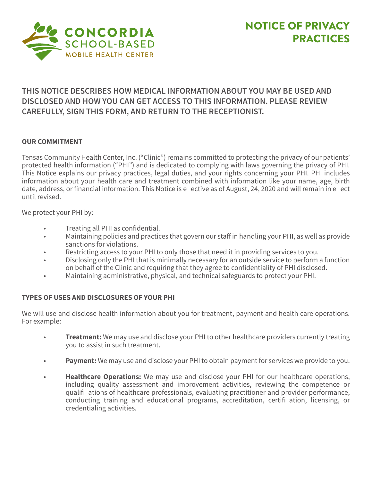

# **THIS NOTICE DESCRIBES HOW MEDICAL INFORMATION ABOUT YOU MAY BE USED AND DISCLOSED AND HOW YOU CAN GET ACCESS TO THIS INFORMATION. PLEASE REVIEW CAREFULLY, SIGN THIS FORM, AND RETURN TO THE RECEPTIONIST.**

# **OUR COMMITMENT**

Tensas Community Health Center, Inc. ("Clinic") remains committed to protecting the privacy of our patients' protected health information ("PHI") and is dedicated to complying with laws governing the privacy of PHI. This Notice explains our privacy practices, legal duties, and your rights concerning your PHI. PHI includes information about your health care and treatment combined with information like your name, age, birth date, address, or financial information. This Notice is e ective as of August, 24, 2020 and will remain in e ect until revised.

We protect your PHI by:

- Treating all PHI as confidential.
- Maintaining policies and practices that govern our staff in handling your PHI, as well as provide sanctions for violations.
- Restricting access to your PHI to only those that need it in providing services to you.
- Disclosing only the PHI that is minimally necessary for an outside service to perform a function on behalf of the Clinic and requiring that they agree to confidentiality of PHI disclosed.
- Maintaining administrative, physical, and technical safeguards to protect your PHI.

# **TYPES OF USES AND DISCLOSURES OF YOUR PHI**

We will use and disclose health information about you for treatment, payment and health care operations. For example:

- **Treatment:** We may use and disclose your PHI to other healthcare providers currently treating you to assist in such treatment.
- **Payment:** We may use and disclose your PHI to obtain payment for services we provide to you.
- **Healthcare Operations:** We may use and disclose your PHI for our healthcare operations, including quality assessment and improvement activities, reviewing the competence or qualifi ations of healthcare professionals, evaluating practitioner and provider performance, conducting training and educational programs, accreditation, certifi ation, licensing, or credentialing activities.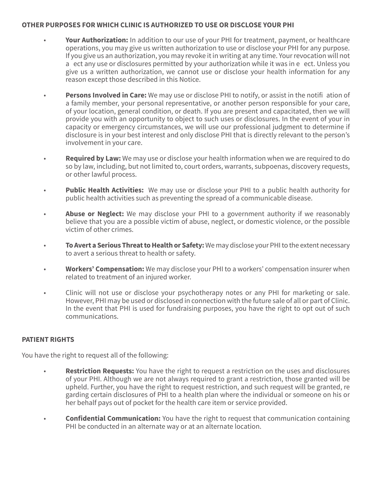## **OTHER PURPOSES FOR WHICH CLINIC IS AUTHORIZED TO USE OR DISCLOSE YOUR PHI**

- **Your Authorization:** In addition to our use of your PHI for treatment, payment, or healthcare operations, you may give us written authorization to use or disclose your PHI for any purpose. If you give us an authorization, you may revoke it in writing at any time. Your revocation will not a ect any use or disclosures permitted by your authorization while it was in e ect. Unless you give us a written authorization, we cannot use or disclose your health information for any reason except those described in this Notice.
- **Persons Involved in Care:** We may use or disclose PHI to notify, or assist in the notifi ation of a family member, your personal representative, or another person responsible for your care, of your location, general condition, or death. If you are present and capacitated, then we will provide you with an opportunity to object to such uses or disclosures. In the event of your in capacity or emergency circumstances, we will use our professional judgment to determine if disclosure is in your best interest and only disclose PHI that is directly relevant to the person's involvement in your care.
- **Required by Law:** We may use or disclose your health information when we are required to do so by law, including, but not limited to, court orders, warrants, subpoenas, discovery requests, or other lawful process.
- **Public Health Activities:** We may use or disclose your PHI to a public health authority for public health activities such as preventing the spread of a communicable disease.
- Abuse or Neglect: We may disclose your PHI to a government authority if we reasonably believe that you are a possible victim of abuse, neglect, or domestic violence, or the possible victim of other crimes.
- **To Avert a Serious Threat to Health or Safety:** We may disclose your PHI to the extent necessary to avert a serious threat to health or safety.
- **Workers' Compensation:** We may disclose your PHI to a workers' compensation insurer when related to treatment of an injured worker.
- Clinic will not use or disclose your psychotherapy notes or any PHI for marketing or sale. However, PHI may be used or disclosed in connection with the future sale of all or part of Clinic. In the event that PHI is used for fundraising purposes, you have the right to opt out of such communications.

# **PATIENT RIGHTS**

You have the right to request all of the following:

- **Restriction Requests:** You have the right to request a restriction on the uses and disclosures of your PHI. Although we are not always required to grant a restriction, those granted will be upheld. Further, you have the right to request restriction, and such request will be granted, re garding certain disclosures of PHI to a health plan where the individual or someone on his or her behalf pays out of pocket for the health care item or service provided.
- **Confidential Communication:** You have the right to request that communication containing PHI be conducted in an alternate way or at an alternate location.